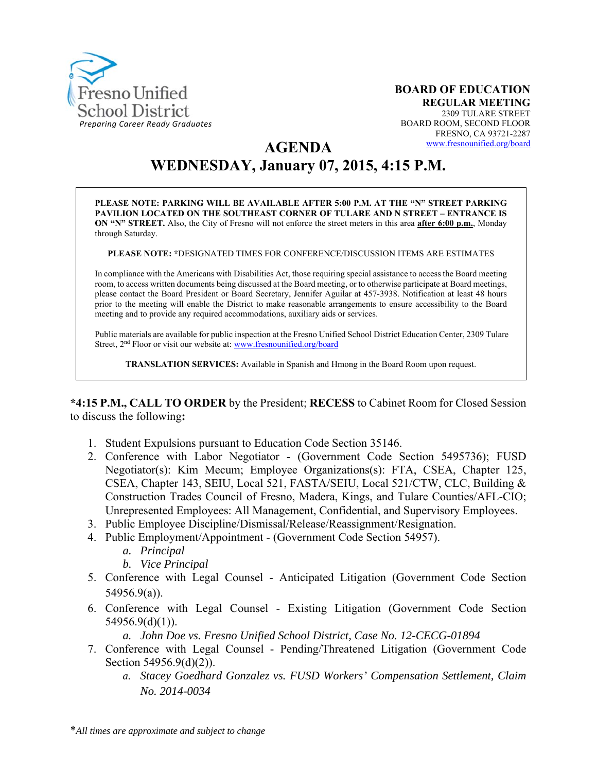

**AGENDA** 

# **WEDNESDAY, January 07, 2015, 4:15 P.M.**

**PLEASE NOTE: PARKING WILL BE AVAILABLE AFTER 5:00 P.M. AT THE "N" STREET PARKING PAVILION LOCATED ON THE SOUTHEAST CORNER OF TULARE AND N STREET – ENTRANCE IS ON "N" STREET.** Also, the City of Fresno will not enforce the street meters in this area **after 6:00 p.m.**, Monday through Saturday.

**PLEASE NOTE: \***DESIGNATED TIMES FOR CONFERENCE/DISCUSSION ITEMS ARE ESTIMATES

In compliance with the Americans with Disabilities Act, those requiring special assistance to access the Board meeting room, to access written documents being discussed at the Board meeting, or to otherwise participate at Board meetings, please contact the Board President or Board Secretary, Jennifer Aguilar at 457-3938. Notification at least 48 hours prior to the meeting will enable the District to make reasonable arrangements to ensure accessibility to the Board meeting and to provide any required accommodations, auxiliary aids or services.

Public materials are available for public inspection at the Fresno Unified School District Education Center, 2309 Tulare Street, 2nd Floor or visit our website at: www.fresnounified.org/board

**TRANSLATION SERVICES:** Available in Spanish and Hmong in the Board Room upon request.

**\*4:15 P.M., CALL TO ORDER** by the President; **RECESS** to Cabinet Room for Closed Session to discuss the following**:** 

- 1. Student Expulsions pursuant to Education Code Section 35146.
- 2. Conference with Labor Negotiator (Government Code Section 5495736); FUSD Negotiator(s): Kim Mecum; Employee Organizations(s): FTA, CSEA, Chapter 125, CSEA, Chapter 143, SEIU, Local 521, FASTA/SEIU, Local 521/CTW, CLC, Building & Construction Trades Council of Fresno, Madera, Kings, and Tulare Counties/AFL-CIO; Unrepresented Employees: All Management, Confidential, and Supervisory Employees.
- 3. Public Employee Discipline/Dismissal/Release/Reassignment/Resignation.
- 4. Public Employment/Appointment (Government Code Section 54957).
	- *a. Principal*
	- *b. Vice Principal*
- 5. Conference with Legal Counsel Anticipated Litigation (Government Code Section 54956.9(a)).
- 6. Conference with Legal Counsel Existing Litigation (Government Code Section 54956.9(d)(1)).
	- *a. John Doe vs. Fresno Unified School District, Case No. 12-CECG-01894*
- 7. Conference with Legal Counsel Pending/Threatened Litigation (Government Code Section 54956.9(d)(2)).
	- *a. Stacey Goedhard Gonzalez vs. FUSD Workers' Compensation Settlement, Claim No. 2014-0034*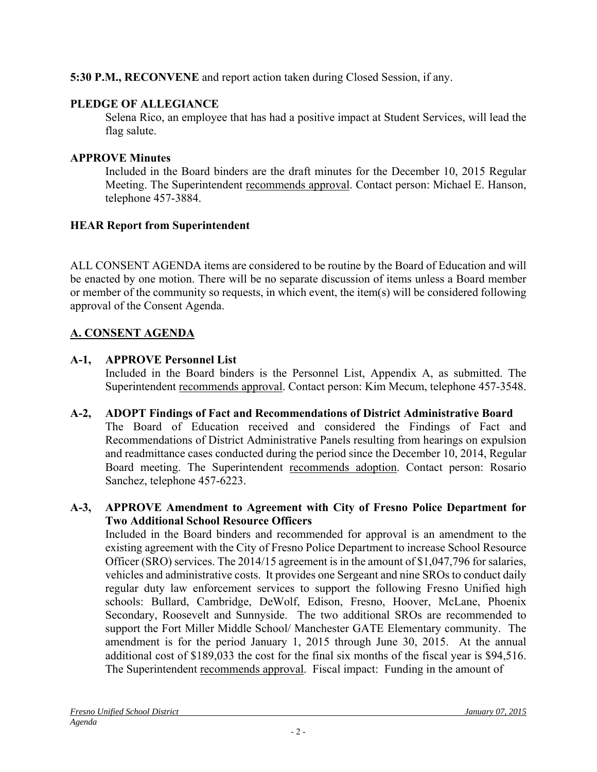# **5:30 P.M., RECONVENE** and report action taken during Closed Session, if any.

# **PLEDGE OF ALLEGIANCE**

Selena Rico, an employee that has had a positive impact at Student Services, will lead the flag salute.

# **APPROVE Minutes**

Included in the Board binders are the draft minutes for the December 10, 2015 Regular Meeting. The Superintendent recommends approval. Contact person: Michael E. Hanson, telephone 457-3884.

# **HEAR Report from Superintendent**

ALL CONSENT AGENDA items are considered to be routine by the Board of Education and will be enacted by one motion. There will be no separate discussion of items unless a Board member or member of the community so requests, in which event, the item(s) will be considered following approval of the Consent Agenda.

# **A. CONSENT AGENDA**

# **A-1, APPROVE Personnel List**

Included in the Board binders is the Personnel List, Appendix A, as submitted. The Superintendent recommends approval. Contact person: Kim Mecum, telephone 457-3548.

- **A-2, ADOPT Findings of Fact and Recommendations of District Administrative Board** The Board of Education received and considered the Findings of Fact and Recommendations of District Administrative Panels resulting from hearings on expulsion and readmittance cases conducted during the period since the December 10, 2014, Regular Board meeting. The Superintendent recommends adoption. Contact person: Rosario Sanchez, telephone 457-6223.
- **A-3, APPROVE Amendment to Agreement with City of Fresno Police Department for Two Additional School Resource Officers**

Included in the Board binders and recommended for approval is an amendment to the existing agreement with the City of Fresno Police Department to increase School Resource Officer (SRO) services. The 2014/15 agreement is in the amount of \$1,047,796 for salaries, vehicles and administrative costs. It provides one Sergeant and nine SROs to conduct daily regular duty law enforcement services to support the following Fresno Unified high schools: Bullard, Cambridge, DeWolf, Edison, Fresno, Hoover, McLane, Phoenix Secondary, Roosevelt and Sunnyside. The two additional SROs are recommended to support the Fort Miller Middle School/ Manchester GATE Elementary community. The amendment is for the period January 1, 2015 through June 30, 2015. At the annual additional cost of \$189,033 the cost for the final six months of the fiscal year is \$94,516. The Superintendent recommends approval. Fiscal impact: Funding in the amount of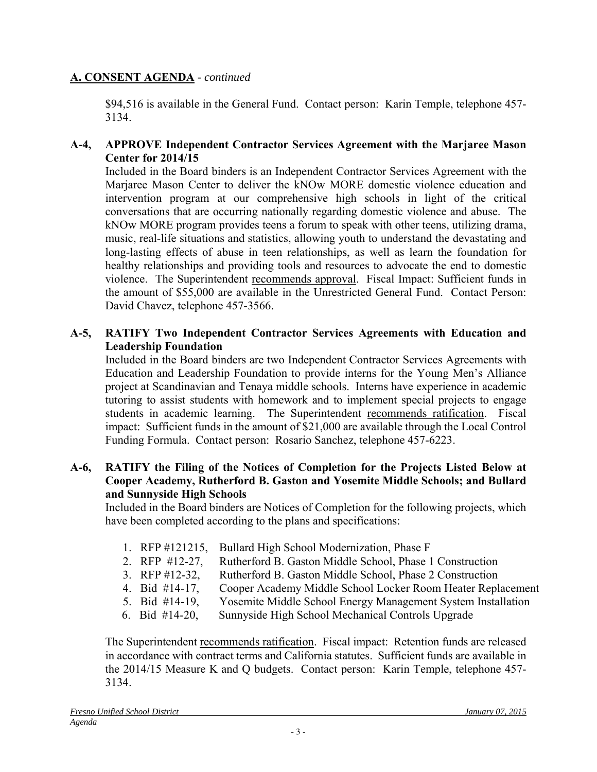## **A. CONSENT AGENDA** *- continued*

\$94,516 is available in the General Fund. Contact person: Karin Temple, telephone 457- 3134.

## **A-4, APPROVE Independent Contractor Services Agreement with the Marjaree Mason Center for 2014/15**

Included in the Board binders is an Independent Contractor Services Agreement with the Marjaree Mason Center to deliver the kNOw MORE domestic violence education and intervention program at our comprehensive high schools in light of the critical conversations that are occurring nationally regarding domestic violence and abuse. The kNOw MORE program provides teens a forum to speak with other teens, utilizing drama, music, real-life situations and statistics, allowing youth to understand the devastating and long-lasting effects of abuse in teen relationships, as well as learn the foundation for healthy relationships and providing tools and resources to advocate the end to domestic violence. The Superintendent recommends approval. Fiscal Impact: Sufficient funds in the amount of \$55,000 are available in the Unrestricted General Fund. Contact Person: David Chavez, telephone 457-3566.

## **A-5, RATIFY Two Independent Contractor Services Agreements with Education and Leadership Foundation**

Included in the Board binders are two Independent Contractor Services Agreements with Education and Leadership Foundation to provide interns for the Young Men's Alliance project at Scandinavian and Tenaya middle schools. Interns have experience in academic tutoring to assist students with homework and to implement special projects to engage students in academic learning. The Superintendent recommends ratification. Fiscal impact: Sufficient funds in the amount of \$21,000 are available through the Local Control Funding Formula. Contact person: Rosario Sanchez, telephone 457-6223.

#### **A-6, RATIFY the Filing of the Notices of Completion for the Projects Listed Below at Cooper Academy, Rutherford B. Gaston and Yosemite Middle Schools; and Bullard and Sunnyside High Schools**

Included in the Board binders are Notices of Completion for the following projects, which have been completed according to the plans and specifications:

- 1. RFP #121215, Bullard High School Modernization, Phase F
- 2. RFP #12-27, Rutherford B. Gaston Middle School, Phase 1 Construction
- 3. RFP #12-32, Rutherford B. Gaston Middle School, Phase 2 Construction
- 4. Bid #14-17, Cooper Academy Middle School Locker Room Heater Replacement
- 5. Bid #14-19, Yosemite Middle School Energy Management System Installation
- 6. Bid #14-20, Sunnyside High School Mechanical Controls Upgrade

The Superintendent recommends ratification. Fiscal impact: Retention funds are released in accordance with contract terms and California statutes. Sufficient funds are available in the 2014/15 Measure K and Q budgets. Contact person: Karin Temple, telephone 457- 3134.